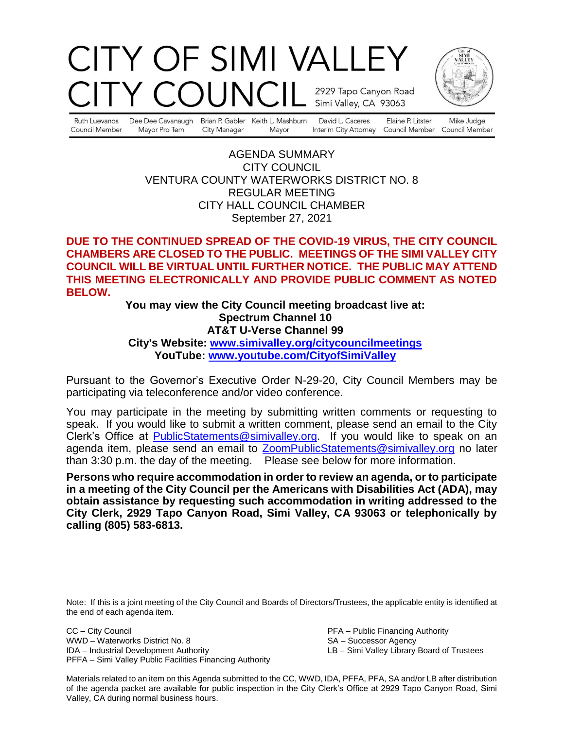# CITY OF SIMI VALLEY OUNCII 2929 Tapo Canyon Road Simi Valley, CA 93063



Ruth Luevanos Council Member

Dee Dee Cavanaugh Mayor Pro Tem City Manager

Brian P. Gabler Keith L. Mashburn Mayor

David L. Caceres

Elaine P. Litster Interim City Attorney Council Member Council Member

Mike Judge

AGENDA SUMMARY CITY COUNCIL VENTURA COUNTY WATERWORKS DISTRICT NO. 8 REGULAR MEETING CITY HALL COUNCIL CHAMBER September 27, 2021

## **DUE TO THE CONTINUED SPREAD OF THE COVID-19 VIRUS, THE CITY COUNCIL CHAMBERS ARE CLOSED TO THE PUBLIC. MEETINGS OF THE SIMI VALLEY CITY COUNCIL WILL BE VIRTUAL UNTIL FURTHER NOTICE. THE PUBLIC MAY ATTEND THIS MEETING ELECTRONICALLY AND PROVIDE PUBLIC COMMENT AS NOTED BELOW.**

### **You may view the City Council meeting broadcast live at: Spectrum Channel 10 AT&T U-Verse Channel 99 City's Website: [www.simivalley.org/citycouncilmeetings](http://www.simivalley.org/citycouncilmeetings) YouTube: [www.youtube.com/CityofSimiValley](http://www.youtube.com/CityofSimiValley)**

Pursuant to the Governor's Executive Order N-29-20, City Council Members may be participating via teleconference and/or video conference.

You may participate in the meeting by submitting written comments or requesting to speak. If you would like to submit a written comment, please send an email to the City Clerk's Office at [PublicStatements@simivalley.org.](mailto:PublicStatements@simivalley.org) If you would like to speak on an agenda item, please send an email to [ZoomPublicStatements@simivalley.org](mailto:ZoomPublicStatements@simivalley.org) no later than 3:30 p.m. the day of the meeting. Please see below for more information.

**Persons who require accommodation in order to review an agenda, or to participate in a meeting of the City Council per the Americans with Disabilities Act (ADA), may obtain assistance by requesting such accommodation in writing addressed to the City Clerk, 2929 Tapo Canyon Road, Simi Valley, CA 93063 or telephonically by calling (805) 583-6813.** 

Note: If this is a joint meeting of the City Council and Boards of Directors/Trustees, the applicable entity is identified at the end of each agenda item.

CC – City Council PFA – Public Financing Authority WWD – Waterworks District No. 8 SA – Successor Agency<br>
IDA – Industrial Development Authority SA – Simi Valley Library PFFA – Simi Valley Public Facilities Financing Authority

LB – Simi Valley Library Board of Trustees

Materials related to an item on this Agenda submitted to the CC, WWD, IDA, PFFA, PFA, SA and/or LB after distribution of the agenda packet are available for public inspection in the City Clerk's Office at 2929 Tapo Canyon Road, Simi Valley, CA during normal business hours.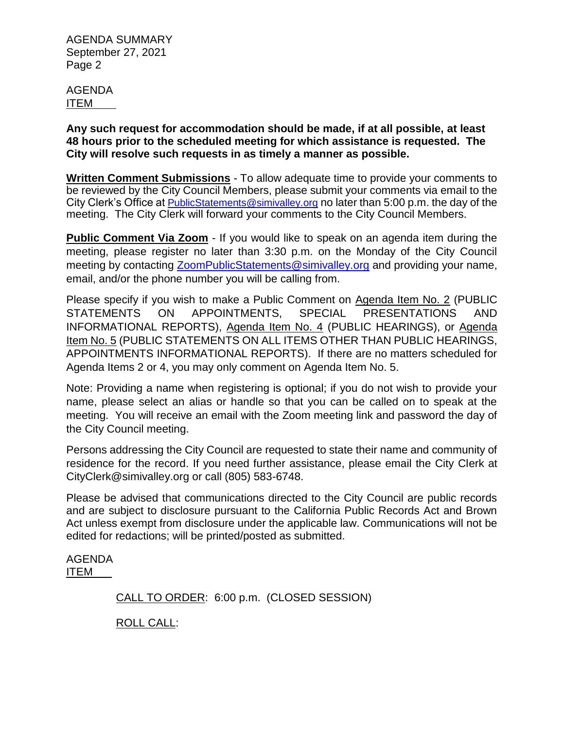AGENDA ITEM

**Any such request for accommodation should be made, if at all possible, at least 48 hours prior to the scheduled meeting for which assistance is requested. The City will resolve such requests in as timely a manner as possible.**

**Written Comment Submissions** - To allow adequate time to provide your comments to be reviewed by the City Council Members, please submit your comments via email to the City Clerk's Office at [PublicStatements@simivalley.org](mailto:PublicStatements@simivalley.org) no later than 5:00 p.m. the day of the meeting. The City Clerk will forward your comments to the City Council Members.

**Public Comment Via Zoom** - If you would like to speak on an agenda item during the meeting, please register no later than 3:30 p.m. on the Monday of the City Council meeting by contacting [ZoomPublicStatements@simivalley.org](mailto:ZoomPublicStatements@simivalley.org) and providing your name, email, and/or the phone number you will be calling from.

Please specify if you wish to make a Public Comment on Agenda Item No. 2 (PUBLIC STATEMENTS ON APPOINTMENTS, SPECIAL PRESENTATIONS AND INFORMATIONAL REPORTS), Agenda Item No. 4 (PUBLIC HEARINGS), or Agenda Item No. 5 (PUBLIC STATEMENTS ON ALL ITEMS OTHER THAN PUBLIC HEARINGS, APPOINTMENTS INFORMATIONAL REPORTS). If there are no matters scheduled for Agenda Items 2 or 4, you may only comment on Agenda Item No. 5.

Note: Providing a name when registering is optional; if you do not wish to provide your name, please select an alias or handle so that you can be called on to speak at the meeting. You will receive an email with the Zoom meeting link and password the day of the City Council meeting.

Persons addressing the City Council are requested to state their name and community of residence for the record. If you need further assistance, please email the City Clerk at CityClerk@simivalley.org or call (805) 583-6748.

Please be advised that communications directed to the City Council are public records and are subject to disclosure pursuant to the California Public Records Act and Brown Act unless exempt from disclosure under the applicable law. Communications will not be edited for redactions; will be printed/posted as submitted.

AGENDA ITEM

CALL TO ORDER: 6:00 p.m. (CLOSED SESSION)

ROLL CALL: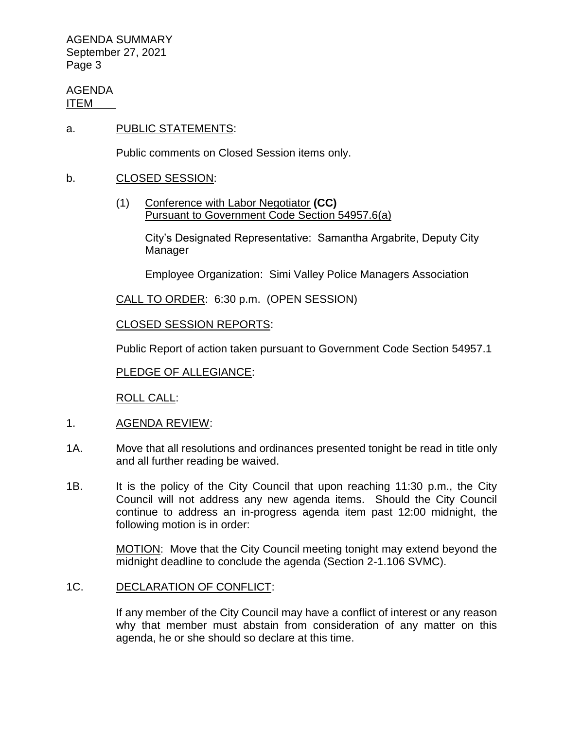AGENDA ITEM

a. PUBLIC STATEMENTS:

Public comments on Closed Session items only.

- b. CLOSED SESSION:
	- (1) Conference with Labor Negotiator **(CC)** Pursuant to Government Code Section 54957.6(a)

City's Designated Representative: Samantha Argabrite, Deputy City Manager

Employee Organization: Simi Valley Police Managers Association

CALL TO ORDER: 6:30 p.m. (OPEN SESSION)

CLOSED SESSION REPORTS:

Public Report of action taken pursuant to Government Code Section 54957.1

PLEDGE OF ALLEGIANCE:

ROLL CALL:

- 1. AGENDA REVIEW:
- 1A. Move that all resolutions and ordinances presented tonight be read in title only and all further reading be waived.
- 1B. It is the policy of the City Council that upon reaching 11:30 p.m., the City Council will not address any new agenda items. Should the City Council continue to address an in-progress agenda item past 12:00 midnight, the following motion is in order:

MOTION: Move that the City Council meeting tonight may extend beyond the midnight deadline to conclude the agenda (Section 2-1.106 SVMC).

#### 1C. DECLARATION OF CONFLICT:

If any member of the City Council may have a conflict of interest or any reason why that member must abstain from consideration of any matter on this agenda, he or she should so declare at this time.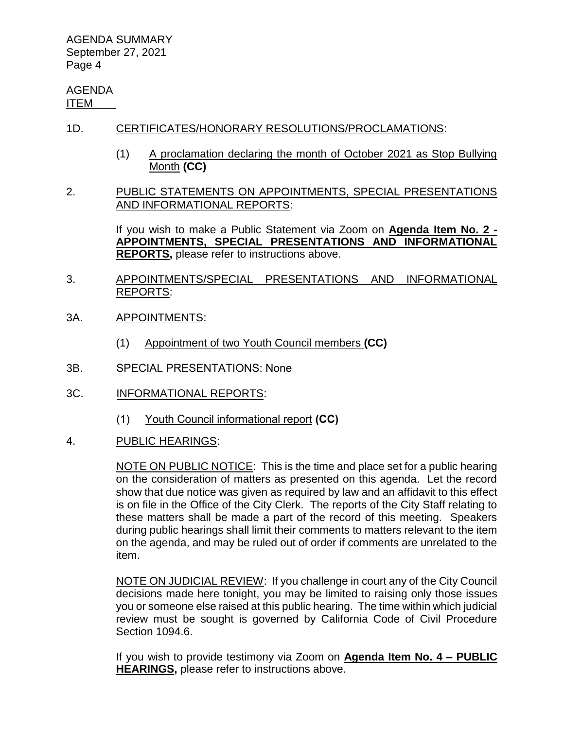AGENDA ITEM

- 1D. CERTIFICATES/HONORARY RESOLUTIONS/PROCLAMATIONS:
	- (1) A proclamation declaring the month of October 2021 as Stop Bullying Month **(CC)**
- 2. PUBLIC STATEMENTS ON APPOINTMENTS, SPECIAL PRESENTATIONS AND INFORMATIONAL REPORTS:

If you wish to make a Public Statement via Zoom on **Agenda Item No. 2 - APPOINTMENTS, SPECIAL PRESENTATIONS AND INFORMATIONAL REPORTS,** please refer to instructions above.

- 3. APPOINTMENTS/SPECIAL PRESENTATIONS AND INFORMATIONAL REPORTS:
- 3A. APPOINTMENTS:
	- (1) Appointment of two Youth Council members **(CC)**
- 3B. SPECIAL PRESENTATIONS: None
- 3C. INFORMATIONAL REPORTS:
	- (1) Youth Council informational report **(CC)**
- 4. PUBLIC HEARINGS:

NOTE ON PUBLIC NOTICE: This is the time and place set for a public hearing on the consideration of matters as presented on this agenda. Let the record show that due notice was given as required by law and an affidavit to this effect is on file in the Office of the City Clerk. The reports of the City Staff relating to these matters shall be made a part of the record of this meeting. Speakers during public hearings shall limit their comments to matters relevant to the item on the agenda, and may be ruled out of order if comments are unrelated to the item.

NOTE ON JUDICIAL REVIEW: If you challenge in court any of the City Council decisions made here tonight, you may be limited to raising only those issues you or someone else raised at this public hearing. The time within which judicial review must be sought is governed by California Code of Civil Procedure Section 1094.6.

If you wish to provide testimony via Zoom on **Agenda Item No. 4 – PUBLIC HEARINGS,** please refer to instructions above.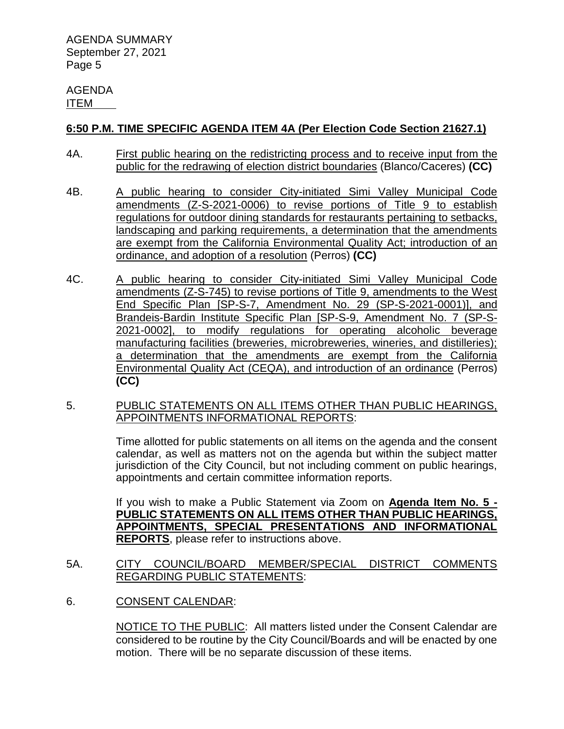#### AGENDA ITEM

## **6:50 P.M. TIME SPECIFIC AGENDA ITEM 4A (Per Election Code Section 21627.1)**

- 4A. First public hearing on the redistricting process and to receive input from the public for the redrawing of election district boundaries (Blanco/Caceres) **(CC)**
- 4B. A public hearing to consider City-initiated Simi Valley Municipal Code amendments (Z-S-2021-0006) to revise portions of Title 9 to establish regulations for outdoor dining standards for restaurants pertaining to setbacks, landscaping and parking requirements, a determination that the amendments are exempt from the California Environmental Quality Act; introduction of an ordinance, and adoption of a resolution (Perros) **(CC)**
- 4C. A public hearing to consider City-initiated Simi Valley Municipal Code amendments (Z-S-745) to revise portions of Title 9, amendments to the West End Specific Plan [SP-S-7, Amendment No. 29 (SP-S-2021-0001)], and Brandeis-Bardin Institute Specific Plan [SP-S-9, Amendment No. 7 (SP-S-2021-0002], to modify regulations for operating alcoholic beverage manufacturing facilities (breweries, microbreweries, wineries, and distilleries); a determination that the amendments are exempt from the California Environmental Quality Act (CEQA), and introduction of an ordinance (Perros) **(CC)**
- 5. PUBLIC STATEMENTS ON ALL ITEMS OTHER THAN PUBLIC HEARINGS, APPOINTMENTS INFORMATIONAL REPORTS:

Time allotted for public statements on all items on the agenda and the consent calendar, as well as matters not on the agenda but within the subject matter jurisdiction of the City Council, but not including comment on public hearings, appointments and certain committee information reports.

If you wish to make a Public Statement via Zoom on **Agenda Item No. 5 - PUBLIC STATEMENTS ON ALL ITEMS OTHER THAN PUBLIC HEARINGS, APPOINTMENTS, SPECIAL PRESENTATIONS AND INFORMATIONAL REPORTS**, please refer to instructions above.

- 5A. CITY COUNCIL/BOARD MEMBER/SPECIAL DISTRICT COMMENTS REGARDING PUBLIC STATEMENTS:
- 6. CONSENT CALENDAR:

NOTICE TO THE PUBLIC: All matters listed under the Consent Calendar are considered to be routine by the City Council/Boards and will be enacted by one motion. There will be no separate discussion of these items.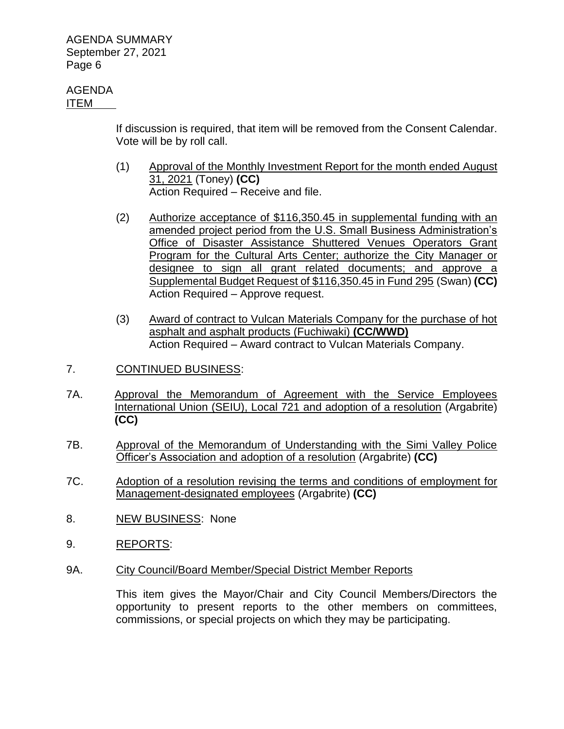#### AGENDA ITEM

If discussion is required, that item will be removed from the Consent Calendar. Vote will be by roll call.

- (1) Approval of the Monthly Investment Report for the month ended August 31, 2021 (Toney) **(CC)** Action Required – Receive and file.
- (2) Authorize acceptance of \$116,350.45 in supplemental funding with an amended project period from the U.S. Small Business Administration's Office of Disaster Assistance Shuttered Venues Operators Grant Program for the Cultural Arts Center; authorize the City Manager or designee to sign all grant related documents; and approve a Supplemental Budget Request of \$116,350.45 in Fund 295 (Swan) **(CC)** Action Required – Approve request.
- (3) Award of contract to Vulcan Materials Company for the purchase of hot asphalt and asphalt products (Fuchiwaki) **(CC/WWD)** Action Required – Award contract to Vulcan Materials Company.
- 7. CONTINUED BUSINESS:
- 7A. Approval the Memorandum of Agreement with the Service Employees International Union (SEIU), Local 721 and adoption of a resolution (Argabrite) **(CC)**
- 7B. Approval of the Memorandum of Understanding with the Simi Valley Police Officer's Association and adoption of a resolution (Argabrite) **(CC)**
- 7C. Adoption of a resolution revising the terms and conditions of employment for Management-designated employees (Argabrite) **(CC)**
- 8. NEW BUSINESS: None
- 9. REPORTS:
- 9A. City Council/Board Member/Special District Member Reports

This item gives the Mayor/Chair and City Council Members/Directors the opportunity to present reports to the other members on committees, commissions, or special projects on which they may be participating.